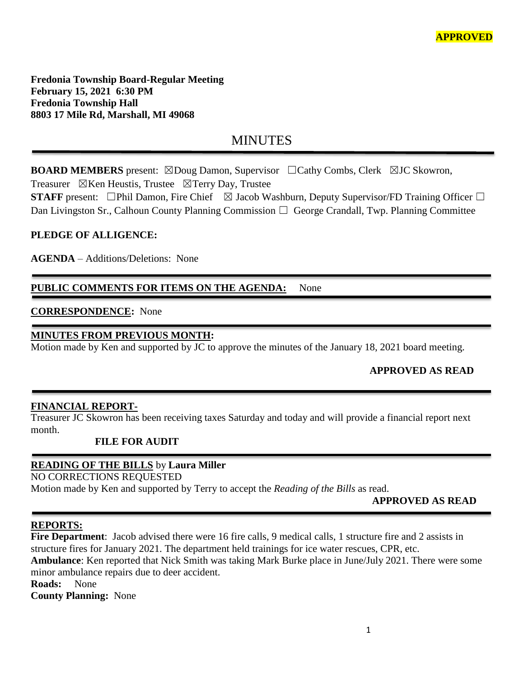**Fredonia Township Board-Regular Meeting February 15, 2021 6:30 PM Fredonia Township Hall 8803 17 Mile Rd, Marshall, MI 49068**

# **MINUTES**

**BOARD MEMBERS** present: ⊠Doug Damon, Supervisor □Cathy Combs, Clerk ⊠JC Skowron,

Treasurer  $\boxtimes$ Ken Heustis, Trustee  $\boxtimes$ Terry Day, Trustee

**STAFF** present: □Phil Damon, Fire Chief  $\boxtimes$  Jacob Washburn, Deputy Supervisor/FD Training Officer □ Dan Livingston Sr., Calhoun County Planning Commission  $\Box$  George Crandall, Twp. Planning Committee

### **PLEDGE OF ALLIGENCE:**

**AGENDA** – Additions/Deletions: None

### PUBLIC COMMENTS FOR ITEMS ON THE AGENDA: None

### **CORRESPONDENCE:** None

### **MINUTES FROM PREVIOUS MONTH:**

Motion made by Ken and supported by JC to approve the minutes of the January 18, 2021 board meeting.

### **APPROVED AS READ**

### **FINANCIAL REPORT-**

Treasurer JC Skowron has been receiving taxes Saturday and today and will provide a financial report next month.

#### **FILE FOR AUDIT**

### **READING OF THE BILLS** by **Laura Miller**

NO CORRECTIONS REQUESTED

Motion made by Ken and supported by Terry to accept the *Reading of the Bills* as read.

### **APPROVED AS READ**

#### **REPORTS:**

Fire Department: Jacob advised there were 16 fire calls, 9 medical calls, 1 structure fire and 2 assists in structure fires for January 2021. The department held trainings for ice water rescues, CPR, etc. **Ambulance**: Ken reported that Nick Smith was taking Mark Burke place in June/July 2021. There were some minor ambulance repairs due to deer accident. **Roads:** None

**County Planning:** None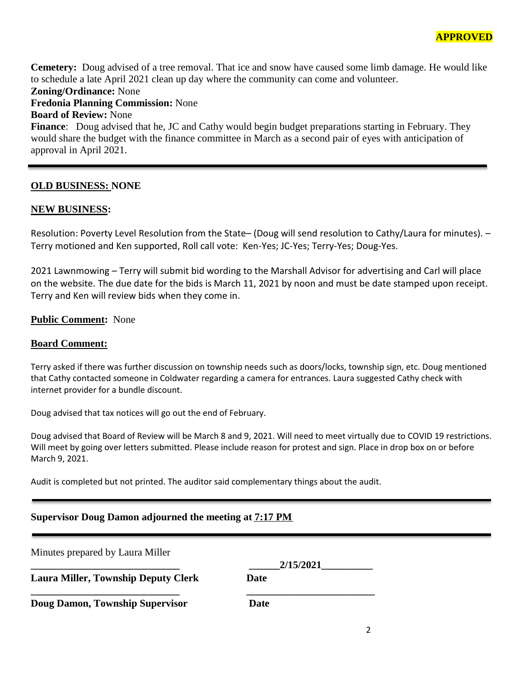**Cemetery:** Doug advised of a tree removal. That ice and snow have caused some limb damage. He would like to schedule a late April 2021 clean up day where the community can come and volunteer. **Zoning/Ordinance:** None

**Fredonia Planning Commission:** None

**Board of Review:** None

**Finance**: Doug advised that he, JC and Cathy would begin budget preparations starting in February. They would share the budget with the finance committee in March as a second pair of eyes with anticipation of approval in April 2021.

#### **OLD BUSINESS: NONE**

#### **NEW BUSINESS:**

Resolution: Poverty Level Resolution from the State– (Doug will send resolution to Cathy/Laura for minutes). – Terry motioned and Ken supported, Roll call vote: Ken-Yes; JC-Yes; Terry-Yes; Doug-Yes.

2021 Lawnmowing – Terry will submit bid wording to the Marshall Advisor for advertising and Carl will place on the website. The due date for the bids is March 11, 2021 by noon and must be date stamped upon receipt. Terry and Ken will review bids when they come in.

#### **Public Comment:** None

#### **Board Comment:**

Terry asked if there was further discussion on township needs such as doors/locks, township sign, etc. Doug mentioned that Cathy contacted someone in Coldwater regarding a camera for entrances. Laura suggested Cathy check with internet provider for a bundle discount.

Doug advised that tax notices will go out the end of February.

Doug advised that Board of Review will be March 8 and 9, 2021. Will need to meet virtually due to COVID 19 restrictions. Will meet by going over letters submitted. Please include reason for protest and sign. Place in drop box on or before March 9, 2021.

Audit is completed but not printed. The auditor said complementary things about the audit.

#### **Supervisor Doug Damon adjourned the meeting at 7:17 PM**

| Minutes prepared by Laura Miller           |           |
|--------------------------------------------|-----------|
|                                            | 2/15/2021 |
| <b>Laura Miller, Township Deputy Clerk</b> | Date      |
| Doug Damon, Township Supervisor            | Date      |